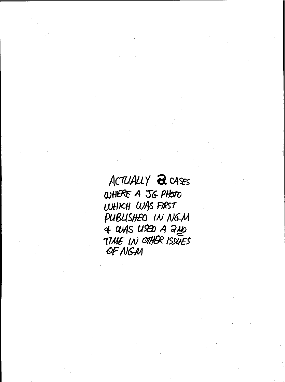ACTUALLY & CASES WHERE A JG PHOTO WHICH WAS FIRST PUBLISHED IN NGM  $4$  WAS USED A 240 TIME IN OTHER ISSUES OF NGM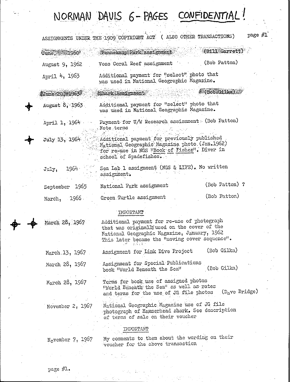## NORMAN DAVIS 6-PAGES CONFIDENTIAL!

|                                      | ASSIGNMENTS UNDER THE 1909 COPYRIGHT ACT ( ALSO OTHER TRANSACTIONS)                                                                                                                                                                      |                    | page #1 |  |
|--------------------------------------|------------------------------------------------------------------------------------------------------------------------------------------------------------------------------------------------------------------------------------------|--------------------|---------|--|
| $\sigma_{\text{unc}} = 1960^{\circ}$ | Pennekamp Park assignment                                                                                                                                                                                                                | (Bill Garrett      |         |  |
| August 9, 1962                       | Voss Coral Reef assignment                                                                                                                                                                                                               | (Bob Patton)       |         |  |
| April 4, 1963                        | Additional payment for "select" photo that<br>was used in National Geographic Magazine.                                                                                                                                                  |                    |         |  |
| June 20, 1963                        | Shark Assignment                                                                                                                                                                                                                         | (Bob Gilka)        |         |  |
| August 8, 1963                       | Additional payment for "select" photo that<br>was used in National Geographic Magazine.                                                                                                                                                  |                    |         |  |
| April 1, 1964<br>July 13, 1964       | Payment for U/W Research assisnment (Bob Patton)<br>Note terms<br>Additional payment for previously published<br>Mational Geographic Magazine photo (Jan.1962)<br>for re-use in NGS WBook of Fishes". Diver in<br>school of Spadefishes. |                    |         |  |
| 1964.<br>$J$ u $1y$ ,                | Sea Lab 1 assignment (NGS & LIFE). No written<br>assignment.                                                                                                                                                                             |                    |         |  |
| September 1965                       | National Park assignment                                                                                                                                                                                                                 | (Bob Patton) ?     |         |  |
| March, 1966.                         | Green Turtle assignment                                                                                                                                                                                                                  | (Bob Patton)       |         |  |
|                                      | IMPORTANT                                                                                                                                                                                                                                |                    |         |  |
| March 28, 1967                       | Additional payment for re-use of photograph<br>that was originally used on the cover of the<br>National Geographic Magazine, January, 1962<br>This later became the "moving cover sequence".                                             |                    |         |  |
| March.13, 1967                       | Assignment for Link Dive Project                                                                                                                                                                                                         | (Bob Gilka)        |         |  |
| March 28, 1967                       | Assignment for Special Publications<br>book "World Beneath the Sea"                                                                                                                                                                      | (Bob Gilka)        |         |  |
| March 28, 1967                       | Terms for book use of assigned photos<br>"World Beneath the Sea" as well as rates<br>and terms for the use of JG file photos                                                                                                             | ( $D_n$ ve Bridge) |         |  |
| November $2, 1967$                   | National Geographic Magazine use of JG file<br>photograph of Hammerhead shark. See description<br>of terms of sale on their voucher                                                                                                      |                    |         |  |
|                                      | <b>TMPORTANT</b>                                                                                                                                                                                                                         |                    |         |  |
| $H_0$ vember 7, 1967                 | My comments to them about the wording on their<br>voucher for the above transaction                                                                                                                                                      |                    |         |  |
|                                      |                                                                                                                                                                                                                                          |                    |         |  |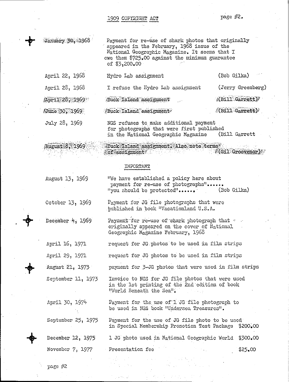1909 COPYRIGlfl' AC'! page *il-2.*

| January 30, 1968   | Payment for re-use of shark photos that originally<br>appeared in the February, 1968 issue of the<br>National Geographic Magazine. It seems that I<br>owe them \$725.00 against the minimum guarantee<br>of \$3.200.00 |                                  |
|--------------------|------------------------------------------------------------------------------------------------------------------------------------------------------------------------------------------------------------------------|----------------------------------|
| April 22, 1968     | Hydro Lab assignment                                                                                                                                                                                                   | (Bob Gilka)                      |
| April 28, 1968     | I refuse the Hydro Lab assignment                                                                                                                                                                                      | (Jerry Greenberg)                |
| April 28, 1969     | <b>Buck Island assignment</b>                                                                                                                                                                                          | $(0.111 \text{ G} \text{arret})$ |
| June 30, 1969      | Buck Island assignment                                                                                                                                                                                                 | $($ Bill Garrett $)$             |
| July 28, 1969      | NGS refuses to make additional payment<br>for photographs that were first published<br>in the Mational Geographic Magazine                                                                                             | (Bill Garrett                    |
| August 8, 1969     | Euck Island assignment. Also note terms<br>of assignment                                                                                                                                                               | /(Gil Grosvenor)                 |
|                    | IMPORTANT                                                                                                                                                                                                              |                                  |
| August 13, 1969    | "We have established a policy here about<br>payment for re-use of photographs"<br>"you should be protected" (Bob Gilka)                                                                                                |                                  |
| October 13, 1969   | Payment for JG file photographs that were<br>published in book "Vacationland U.S.A.                                                                                                                                    |                                  |
| December $4, 1969$ | Payment for re-use of shark photograph that .<br>originally appeared on the cover of National<br>Geographic Magazine February, 1968                                                                                    |                                  |
| April 16, 1971     | request for JG photos to be used in film strips                                                                                                                                                                        |                                  |
| April 29, 1971     | request for JG photos to be used in film strips                                                                                                                                                                        |                                  |
| August 21, 1973    | payment for 3-JG photos that were used in film strips                                                                                                                                                                  |                                  |
| September 11, 1973 | Invoice to NGS for JG file photos that were used<br>in the lst printing of the 2nd edition of book<br>"World Beneath the Sea".                                                                                         |                                  |
| April 30, 1974     | Payment for the use of 1 JG file photograph to<br>be used in NGS book "Undersea Treasures".                                                                                                                            |                                  |
| September 25, 1975 | Payment for the use of JG file photo to be used<br>in Special Nembership Promotion Test Package \$200.00                                                                                                               |                                  |
| December 12, 1975  | 1 JG photo used in Mational Geographic World \$300.00                                                                                                                                                                  |                                  |
| November 7, 1977   | Presentation fee                                                                                                                                                                                                       | \$25.00                          |
|                    |                                                                                                                                                                                                                        |                                  |

 $\frac{1}{2}$ 

 $\mathbf{r}$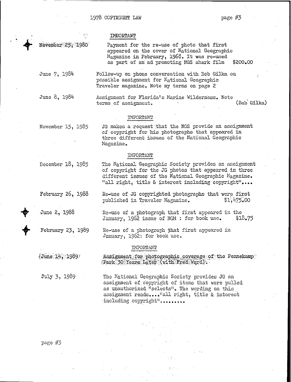#### **IMBORTANT**

November 25, 1980

 $\blacklozenge$ 

Payment for the re-use of photo that first appeared on the cover of National Geographic Magazine in February, 1968. It was re-used as part of an ad promoting NGS shark film \$200.00

Follow-up on phone conversation with Bob Gilka on possible assignment for National Geographic Traveler magazine. Note my terms on page 2

June 8, 1984

,June 7, 1984

Assignment for Florida's Harine Wilderness. Note terms of assignment. (Bob Gilka)

#### IHPORTANT

November 15, 1985

JG makes a request that the NGS provide an assignment of copyright for 'his photographs that appeared in three different issues of the National Geographic Hagazine.

#### IMPORTANT

December 18, 1985

February 26, 1988

June 2,1988

 $\bigstar$ 

t

Re-use of a photograph that first appeared in the<br>January, 1962 issue of NGM : for book use. 418.75 January, 1962 issue of  $M$  : for book use.

Assignment for photographic coverage of the Pennekamp

Re-use of JG copyrighted photographs that were first published in Traveler Magazine. 1475.00

The National Geographic Society provides an assignment of copyright for the JG photos that appeared in three different issues of the National Geographic Magazine. "all right, title & interest including copyright"....

February 23, 1989 Re-use of a photograph that first appeared in Jnnuary, 1962: for book use.

#### INPORTMIT

Park 30 Years Later (with Fred Ward).

 $\sqrt[6]{\text{June } 14, 1989}$ 

,july 3, 1989

The National Geographic Society provides JG an assignment of copyright of items that wore pulled as unauthorized "selects". The wording on this assignment reads... "all right, title & intorest including copyright".........

page #3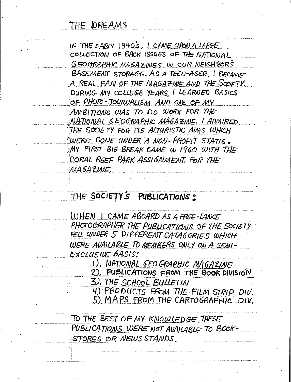THE DREAMS

IN THE EARLY 1940'S, I CAME CLAON A LARGE COLLECTION OF BACK ISSUES OF THE NATIONAL GEOGRAPHIC MAGAZINES IN OUR NEIGHBORS BASEMENT STORAGE. AS A TEEN-AGER, I BECAME A REAL FAN OF THE MAGAZINE AND THE SOCIETY. DURING MY COLLEGE YEARS, I LEARNED BASICS OF PHOTO-JOURNALISM AND ONE OF MY AMBITIONS WAS TO DO WORK FOR THE NATIONAL GEOGRAPHIC MAGAZINE. I ADMIRED THE SOCIETY FOR ITS ALTURISTIC AIMS WHICH WERE DONE UNDER A NON-PROFIT STATIS. MY FIRST BIG BREAK CAME IN 1960 WITH THE CORAL REEF PARK ASSIGNMENT. FOR THE MAGAZINE,

## THE SOCIETY'S PUBLICATIONS:

WHEN I CAME ABOARD AS A FREE-LANCE PHOTOGRAPHER THE PUBLICATIONS OF THE SOCIETY FELL UNDER 5 DIFFERENT CATAGORIES WHICH WERE AVAILABLE TO MEMBERS ONLY ON A SEMI-EXCLUSIVE BASIS:

I). NATIONAL GEO GRAPHIC MAGAZINE

2). PUBLICATIONS FROM THE BOOK DIVISION

3). THE SCHOOL BULLETIN

4) PRODUCTS FROM THE FILM STRIP DIV.

5) MAPS FROM THE CARTOGRAPHIC DIV.

TO THE BEST OF MY KNOWLEDGE THESE PUBLICATIONS WERE NOT AVAILABLE TO BOOK-STORES OR NEWS STANDS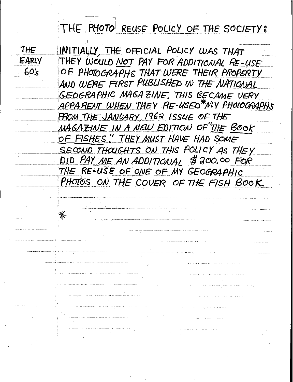## THE PHOTO REUSE POLICY OF THE SOCIETY:

THE

**EARLY** 

 $60s$ 

 $\divideontimes$ 

INITIALLY, THE OFFICIAL POLICY WAS THAT THEY WOULD NOT PAY FOR ADDITIONAL RE-USE OF PHOTOGRAPHS THAT WERE THEIR PROPERTY AND WERE FIRST PUBLISHED IN THE NATIONAL GEOGRAPHIC MAGAZINE, THIS BECAME VERY APPARENT WHEN THEY RE-USED\*MY PHOTOGRAPHS FROM THE JANUARY, 1962 ISSUE OF THE MAGAZINE IN A NEW EDITION OF THE BOOK OF FISHES " THEY MUST HAVE HAD SOME SECOND THOUGHTS ON THIS POLICY AS THEY DID PAY ME AN ADDITIONAL \$ 200,00 FOR THE RE-USE OF ONE OF MY GEOGRAPHIC PHOTOS ON THE COVER OF THE FISH BOOK.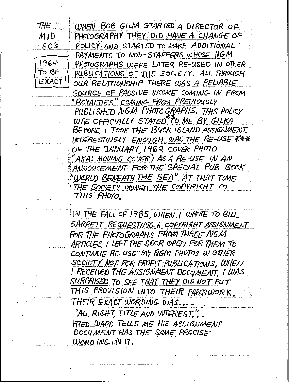| THE         | WHEN BOB GILKA STARTED A DIRECTOR OF                  |
|-------------|-------------------------------------------------------|
| $M$ J $D^-$ | PHOTOGRAPHY THEY DID HAVE A CHANGE OF                 |
| <b>60's</b> | POLICY AND STARTED TO MAKE ADDITIONAL                 |
|             | PAYMENTS TO NON-STAFFERS WHOSE NGM                    |
| 1964        | PHOTOGRAPHS WERE LATER RE-USED IN OTHER               |
| TO BE       | PUBLICATIONS OF THE SOCIETY. ALL THROUGH              |
| EXACT!      | OUR RELATIONSHIP THERE WAS A RELIABLE                 |
|             | SOURCE OF PASSIVE INCOME COMING IN FROM               |
|             | "ROYALTIES" COMING FROM PREVIOUSLY                    |
|             | PUBLISHED NGM PHOTO GRAPHS. THIS POLICY               |
|             | WAS OFFICIALLY STATED TO ME BY GILKA                  |
|             | BEFORE I TOOK THE BUCK ISLAND ASSIGNMENT.             |
|             | INTERESTINGLY ENOUGH WAS THE RE-USE ***               |
|             | OF THE JANUARY, 1962 COVER PHOTO                      |
|             | (AKA: MOUING COUER) AS A RE-USE IN AN                 |
|             | ANNOUCEMENT FOR THE SPECIAL PUB BOOK                  |
|             | <u>"WORLD BENEATH THE SEA" AT THAT TIME</u>           |
|             | THE SOCIETY OWNED THE COPYRIGHT TO                    |
|             | THIS PHOTO.                                           |
|             |                                                       |
|             | $\parallel$ IN THE FALL OF 1985, WHEN I WHOTE 70 BILL |
|             | GARRETT REQUESTING A COPYRIGHT ASSIGNMENT             |
|             | FOR THE PHOTOGRAPHS FROM THREE NGM                    |
|             | ARTICLES, I LEFT THE DOOR OPEN FOR THEM TO            |
|             | CONTINUE RE-USE MY NGM PHOTOS IN OTHER                |
|             | SOCIETY NOT FOR PROFIT PUBLICATIONS, WHEN             |
|             | <u>I RECEIVED THE ASSIGNMENT DOCUMENT, I WAS </u>     |
|             | SURPRISED TO SEE THAT THEY DID NOT PUT                |
|             | THIS PROVISION INTO THEIR PAPERWORK.                  |
|             | THEIR EXACT WORDING WAS                               |
|             | "ALL RIGHT, TITLE AND INTEREST.".                     |
|             | FRED WARD TELLS ME HIS ASSIGNMENT                     |
|             | DOCUMENT HAS THE SAME PRECISE                         |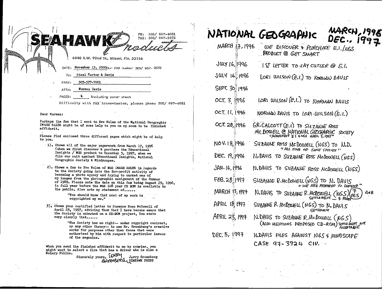| 667-4051<br>ΡН,<br>305/<br>FAX: 305/ 667-3572                                                   | NATIO,       |
|-------------------------------------------------------------------------------------------------|--------------|
| Rodacto                                                                                         | <b>MARCH</b> |
| 6840 S.W. 92nd St., Miami, Fla. 33156<br>November 13, 20000um FAX number 305/ 657-3572<br>DATE: | JULY         |
| Steel Hector & Davis<br>TO:                                                                     | sais         |

- FAXfI: 305-577-7001
- ATTN: **Norman Davis**
- $\ddot{\phantom{1}}$ PAGES: Including cover sheet

Difficulty with FAX transmission, please phone 305/667-4051

" I

Dear Norman:

Ferhaps the fax that I sent to Eve Nolan of the Mational Geographic JY,AGE SALES might be of some help to you on my.soon to be finished affidavit.

Please find enclosed three different pages which might be of help to' you.

- . J.). Shows all of the major paperwork from March 17, <sup>1996</sup> (when we first discover & purchase the Educational Insights / NGS product to December 5, 1997, when we file our suit against Educational Insights, National Geographic Society & Mindscapes.
- 2). Shows a fax to Eve Nolan of JIGS IMAGE SALES in regards to the Society going into the for-profit activity of becoming a photo agency and trying to market one of my images from the photographic assignment of the Summer of 1989.. Please note the date on this fax being August 29, 1996, (a full year before the NOS 108 year CD ROM is available to the public. Also note my statement of......

"You should know that most of my work is copyrighted my me."

3). Shows your certified letter to Suzanne Ross McDowell of April 23, 1997, advising them that" I have become avare that the Society is embarked on a CD-ROM project. You state very clearly that......

> "The Society has no right-- under copyright contract, or any other theory-- to use Mr. Greenberg's creative works for purposes other than those that were authorized by him with respect to particular issues of the magazine.

When you send the finished affidavit to me by courier, you might want to select a firm that has a driver who is also a Notary Public.<br>*Sincerely yours.*  $\begin{bmatrix} \mathbf{C}\mathbf{R}\mathbf{P}^{\prime} \\ \mathbf{P}^{\prime} \end{bmatrix}$  . Jerry Greenberg

Jerry Greenberg SEAHAWK PRESS

|                 | NATIONAL GEOGRAPHIC                                                                       | MARCH, 1995<br>DEC., 1997 |
|-----------------|-------------------------------------------------------------------------------------------|---------------------------|
| MARCH 17, 1996  | WE DISCOVER & PURCHACE E.I./NGS<br>PRODUCT @ GET SMART                                    |                           |
| JULY 16,1996    | $\exists$ IETTER TO JAY CUTLER @ E.L.                                                     |                           |
| $JULY$ 16. 1996 | LORI WILSON (E.I.) TO NORUAN DAVIS                                                        |                           |
| SEPT. 30 1996   |                                                                                           |                           |
| OCT. 3 1996     | LORI WILSON (E.I.) TO NORMAN DAVIS                                                        |                           |
| OCT. 11, 1996   | NORUAN DAVIS TO LORI WILSON (E.I.)                                                        |                           |
| OCT. 28, 1996   | GR. CALCOTT (E.I) TO SUZANIE ROSS<br>MCDOWELL @ NATIONAL GEOGRAPHIC SOCIETY               |                           |
| NO V. 18, 1996  | SUZAWAE ROSS MCDOWELL (NGS) TO N.D.<br>" ALL FISH OF SAME SPECIES "                       |                           |
| DEC. 19, 1996   | N. DAVIS TO SUZANNE ROSS MCDOWELL (NGS)                                                   |                           |
| JAN. 16, 1996   | N.DAVIS TO SUZANJE ROSS MCDOWELL (NGS)                                                    |                           |
| FEB.28 1997     | SUZANNE R. MCDOWELL (NGS) TO N. DAVIS                                                     |                           |
| MARCH 13, 1997  | N.DAVIS TO SUZANNE R. MCDOWELL (NGS)(PGS                                                  | A≁B                       |
| APRIL 18,1997   | SUZANNE R. MCDOWELL (NGS) TO N. DAVIS<br>SATLEMENT                                        |                           |
| APRIL 23, 1997  | N. DAVIS TO SUZANNE R. M-DOWELL (NGS)<br>(ALSO MEDITIONS PROPOSED CD-ROM) SETTLE MENT NOT |                           |
| DEC, 5, 1997    | N.DAVIS FILES AGAINST NGS 4 MINDSCAPE                                                     |                           |
|                 | CASE 97-3924 CIV.                                                                         |                           |

I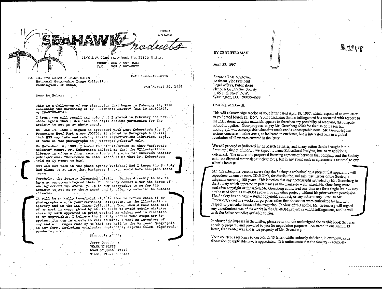**FHONS** MO 7-4051 6840 S.W. 92nd St., Miami, Fla. 33156 U.S.A.

PHONE: 305 / 667-4051 305 / 667-3572  $T^*AX$ :

FAX: 1-202-429-5776

Ms. Eve Nolan / IMAGE SALES National Geographic Image Collection Washington, DC 20036

DATE August 29, 1996

#### Dear Ms Nolan:

This is a follow-up of our discussion that began in February 29, 1996 conconing the marketing of my "Reference Select" (NGS ID RFP105F32, my ID-5783-074).

I trust you will recall and note that I stated in February and now state again that I declined and still decline permission for the Society to act as my photo agent.

On June 14, 1989 I signed an agreement with Kent Kobersteen for the Pennekamp Reef Park story #05738. It stated in Paragraph 5 (a-iii) that NGS may take and retain, in its illustrations libraries, copies of some of the photographs as "Reference Selects" only.

On November 16, 1989, I asked for clarification of what "Reference Selects" meant. Mr. Kobersteen advised me that the "Illustrations Library is often a first source for photographs for numerous Society publications. "Reference Selects" means to me what Mr. Kobersteen told me it meant to him.

NGS was not then in the photo agency business. Had I known the Society had plans to go into that business, I never would have accepted those terms.

Formerly, the Society forwarded outside quieries directly to me. We have no agreement beyond that. The Society cannot alter the terms of our agreement unilaterally. It is NOT acceptable to me for the Society to act as my photo agent and to offer my material to outside clients.

It will be mutually beneficial at this time to review which of my photographs are in your Permanent Collection, in the Illustrations Library and in the NGS Image Collection. Your should know that most of my work is copyrighted by me. In order to avoid costly mistakes where my work appeared in print against my wishes and in violation of my copyrights, I believe the Society should take steps now to protect its own interests as well as mine. I want an inventory of any and all images made by me that are held by the National Geographic in any form, including originals, duplicates, digital files, electronic. products, etc.

#### Sincercly yours.

Jerry Greenberg SEAHAWK PRESS 6840 SW 92nd Street Miami, Florida 33156

#### BY CERTIFIED MAIL

April 23, 1997

Suzanne Ross McDowell **Assistant Vice President** Legal Affairs, Publications National Geographic Society 1145 17th Street, N.W. Washington, D.C. 20036-4688

Dear Ms. McDowell:

This will acknowledge receipt of your letter dated April 18, 1997, which responded to our letter to you dated March 13, 1997. Your conclusion that no infringement has occurred with respect to the Educational Insights materials appears to foreclose any possibility of resolving that dispute without litigation. Your proposal to pay Mr. Greenberg \$500 for the use of his sea fan photograph was unacceptable when first made and is unacceptable now. Mr. Greenberg has serious concerns in other areas, as indicated in our letter, but is interested only in a global resolution of all matters covered in the letter.

We will proceed as indicated in the March 13 letter, and in any action that is brought in the Southern District of Florida we expect to name Educational Insights, Inc. as an additional defendant. The nature of a purported licensing agreement between that company and the Society as to the disputed materials is unclear to us, but in any event such an agreement is external to our chent's interests.

Mr. Greenberg has become aware that the Society is embarked on a project that apparently will reproduce on one or more CD-ROMs, for distribution and sale, past issues of the Society's magazine covering 100 years. This is notice that any photographs provided by Mr. Greenberg to the Society which appeared in past issues of the magazine -- for which Mr. Greenberg owns exclusive copyright or for which Mr. Greenberg authorized one-time use for a single issue -- may not be used for the CD-ROM project, or any other project, without his prior written permission. The Society has no right -- under copyright, contract, or any other theory -- to use Mr. Greenberg's creative works for purposes other than those that were authorized by him with respect to particular issues of the magazine. In view of this notice, Mr. Greenberg will regard any unauthorized use of his works in the CD-ROM project as willful infringement, and he will seek the fullest remedies available to him.

In view of the impasse in the matter, please return to the undersigned the exhibit book that was specially prepared and provided to you for negotiation purposes. As stated in our March 13 letter, that exhibit was and is the property of Mr. Greenberg.

Your courteous response to our March 13 letter, while seriously deficient, in our view, in its discussion of applicable law, is appreciated. It is unfortunate that the Society -- zealously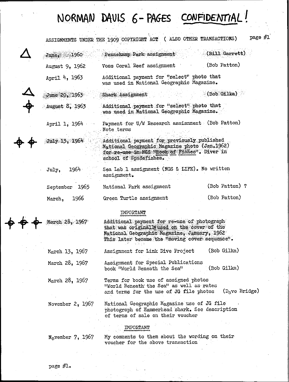## **NORMAN DAVIS 6-PAGES CONFIDENTIAL!**

|                             | ASSIGNMENTS UNDER THE 1909 COPYRIGHT ACT ( ALSO OTHER TRANSACTIONS)                                                                                                                          |                | page $#1$ |
|-----------------------------|----------------------------------------------------------------------------------------------------------------------------------------------------------------------------------------------|----------------|-----------|
| June, 1960                  | Pennekamp Park assignment                                                                                                                                                                    | (Bill Garrett) |           |
| August 9, 1962              | Voss Coral Reef assignment                                                                                                                                                                   | (Bob Patton)   |           |
| April 4, 1963               | Additional payment for "select" photo that<br>was used in National Geographic Magazine.                                                                                                      |                |           |
| June $20, 1963$             | Shark Assignment                                                                                                                                                                             | (Bob Gilka)    |           |
| August 8, 1963              | Additional payment for "select" photo that<br>was used in National Geographic Magazine.                                                                                                      |                |           |
| April 1, 1964               | Payment for U/W Research assisnment (Bob Patton)<br>Note terms                                                                                                                               |                |           |
| $Ju1y$ 13, 196 $\not\vdash$ | Additional payment for previously published<br>National Geographic Magazine photo (Jan.1962)<br>for re-use in NGS Whook of Fishes". Diver in<br>school of Spadefishes.                       |                |           |
| $1964 -$<br>July.           | Sea Lab 1 assignment (NGS & LIFE). No written<br>assignment.                                                                                                                                 |                |           |
| September 1965              | National Park assignment                                                                                                                                                                     | (Bob Patton) ? |           |
| 1966<br>March,              | Green Turtle assignment                                                                                                                                                                      | (Bob Patton)   |           |
|                             | <b>IMPORTANT</b>                                                                                                                                                                             |                |           |
| March 28, 1967              | Additional payment for re-use of photograph<br>that was originally used on the cover of the<br>Mational Geographic Magazine, January, 1962<br>This later became the "moving cover sequence". |                |           |
| March 13, 1967              | Assignment for Link Dive Project                                                                                                                                                             | (Bob Gilka)    |           |
| March 28, 1967              | Assignment for Special Publications<br>book "World Beneath the Sea"                                                                                                                          | (Bob Gilka)    |           |

March 28, 1967 Terms for book use of assigned photos "vlorld Beneath' the Sea" as well as rates and terms for the use of JG file photos ( $D_{\rm a}$ ve Bridge)

November 2, 1967 National Geographic Magazine use of JG file photograph of Hammerhead shark. See description of terms of sale on their voucher

#### IMPORTANT

 $N_0$ vember 7, 1967

My comments to them about the wording on their voucher for the above transaction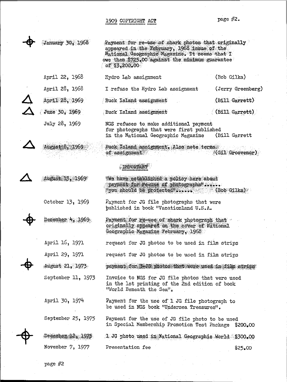### 1909 COPYRIGHT ACT page #2.

| <b>January 30, 1968</b> | Payment for re-use of shark photos that originally<br>appeared in the February, 1968 issue of the<br>Mational Geographic Magazine. It seems that I<br>owe them \$725.00 against the minimum guarantee<br>of $13,200,00$ |                    |
|-------------------------|-------------------------------------------------------------------------------------------------------------------------------------------------------------------------------------------------------------------------|--------------------|
| April 22, 1968          | Hydro Lab assignment                                                                                                                                                                                                    | (Bob Gilka)        |
| April 28, 1968          | I refuse the Hydro Lab assignment                                                                                                                                                                                       | (Jerry Greenberg)  |
| April 28, 1969          | / Buck Island assignment                                                                                                                                                                                                | (Bill Garrett)     |
| June 30, 1969           | Buck Island assignment                                                                                                                                                                                                  | $($ (Bill Garrett) |
| July 28, 1969           | NGS refuses to make additional payment<br>for photographs that were first published<br>in the National Geographic Magazine                                                                                              | (Bill Garrett      |
| August 8, 1969          | Buck Island assignment. Also note terms<br>of assignment                                                                                                                                                                | $*(Gil$ Grosvenor) |
|                         | FMPORTAME <sup>!</sup>                                                                                                                                                                                                  |                    |
| August 15, 1969         | "We have established a policy here about<br>payment for ite-use of photographs'<br>"you should be protected" (Bob Gilka)                                                                                                |                    |
| October 13, 1969        | Payment for JG file photographs that were<br>published in book "Vacationland U.S.A.                                                                                                                                     |                    |
| December $4.1969$       | Payment for re-use of shark photograph that<br>originally appeared on the cover of National<br>Geographic Magazine February, 1968                                                                                       |                    |
| April 16, 1971          | request for JG photos to be used in film strips                                                                                                                                                                         |                    |
| April 29, 1971          | request for JG photos to be used in film strips                                                                                                                                                                         |                    |
| August 21, 1973         | payment for \$-00 photos that were used in film strips                                                                                                                                                                  |                    |
| September 11, 1973      | Invoice to NGS for JG file photos that were used<br>in the 1st printing of the 2nd edition of book<br>"World Beneath the Sea".                                                                                          |                    |
| April 30, 1974          | Payment for the use of 1 JG file photograph to<br>be used in NGS book "Undersea Treasures".                                                                                                                             |                    |
| September 25, 1975      | Payment for the use of JG file photo to be used<br>in Special Membership Promotion Test Package \$200.00                                                                                                                |                    |
| December 12, 1975       | 1 JG photo used in Mational Geographic World \$300.00                                                                                                                                                                   |                    |
| November 7, 1977        | Presentation fee                                                                                                                                                                                                        | \$25.00            |

page #2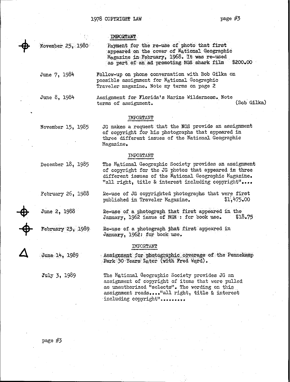#### **IMPORTANT**

November 25, 1980

Payment for the re-uae of photo that first appeared on the cover of National Geographic Magazine in February, 1968. It was re-used as part of an ad promoting NGS shark film \$200.00

June 7, 1984 Follow-up on phone conversation with Bob Gilka on possible assignment for National Geographio Traveler magazine. Note my terms on page 2

June 8, 1984

Assignment for Florida's Marine Wilderness. Note terms of assignment. (Bob Gilka)

The National Geographic Society provides an assignment of copyright for the JG photos that appeared in three different issues of the National Geographic Magazine. "all right, title & interest including copyright"....

Re-use of JG copyrighted photographs that were first<br>published in Traveler Magazine.  $$1,475.00$ 

#### IMPORTANT

November 15, 1985

JG makes a request that the NGS provide an assignment of copyright for his photographs that appeared in three different issues of the National Geographic l1agazine.

#### IHPORTANT

December 18, 1985

February 26, 1988

June 2, 1988

February 23, 1989

January, 1962 issue of NGM : for book use.  $$18.75$  $Re$ -use of a photograph that first appeared in January, 1962: for book use.

Re-use of a photograph that first appeared in the

#### IMPORTANT

published in Traveler Magazine.

Assignment for photographic coverage of the Pennekamp Park 30 Years Later (with Fred Wqrd).

 $July 3, 1989$ 

June 14, 1989

The National Geographic Society provides JG an assignment of copyright of items that were pulled as unauthorized "selects". The wording on this assignment reads...."all right, title & interest including copyright" .........

page #3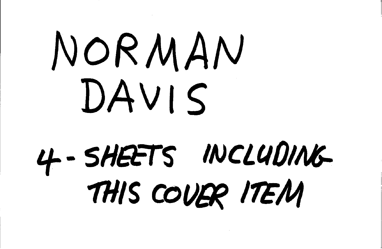# NORMAN DAVIS 4-SHEETS INCLUDING THIS COUER ITEM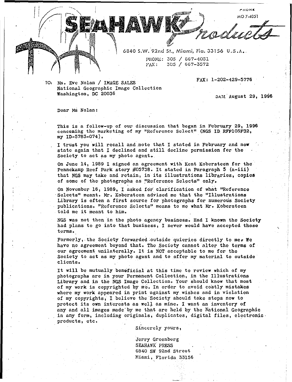**,..HOHIl** MO 7-4051

6040 S.W. 91nd si.. Miami, Fla. JJ 156 U.S.h., PHONE: 305 / 667-4051  $\text{FAX}: 305 / 667 - 3572$ 

**di Maqada Aliy** 

TO, Hs. Eve Nolan / IMAGE SALES National Geographic Image Collection Washington, DC 20036

FAX: 1-202-429-5776

DATE August 29, 1996

Dear Ms Nolan:

This is a follow-up of our discussion that began in February 29, 1996 conconing the marketing *ot* my "Reference Select" (NGS ID RFPI05F32, my ID-5783-074),

I trust you will recall and note that I stated in February and now state again that <sup>I</sup> declined and still decline permission for the Society to act as my photo agent.

On June 14, 1989 I signed an agreement with Kent Koberstecn for the Pennekamp Reef Park story #05738. It stated in Paragraph <sup>5</sup> (a-iii) that NGS may take and retain, in its illustrations libraries, copies of some of the photographs as "Reference Selects" only.

On November 16, 1989, I asked for clarification of what "Reference Selects" meant. Mr. Kobersteen advised me that the "Illustrations" Library is often a first source for photographs for numerous Society publications. "Reference Selects" means to me what Mr. Kobersteen told me it meant to him.

NGS was not then in the photo agency business. Had I known the Society had plans to go into that business, I never would have accepted those **tcrmso**

Formerly, the Society forwarded outside quieries directly to me. We have no agreement beyond that. The Society cannot alter the terms or our agreement unilaterally. It is NOT acceptable to me for the Society to act as my photo agent and to offer my material to outside **clicntso**

It will be mutually benoficial at this time to review which of my photographs arc in your Permanent Collection, in the Illustrations Library and in the NGS Image Collection. Your should know that most of my work is copyrighted by me. In order to avoid costly mistakes where my work appeared in print against my wishes and in violation of my copyrights, I believe the 'Society Should take steps now to protect its own interests as well as mine. I want an inventory of any and all images made'by me that arc held by the National Geographic in any form, including originals, duplicates, digital files, electronic. products, etc. '

Sincerely yours,

Jerry Greenberg SEAHAWK PRESS 6840 SW 92nd Street Miami, Florida 33156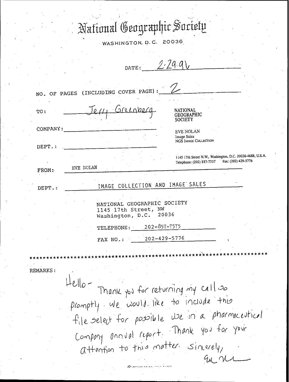## National Geographic Society

WASHINGTON, D.C. 20036

|                        | DATE:                                                                                                                           |
|------------------------|---------------------------------------------------------------------------------------------------------------------------------|
|                        |                                                                                                                                 |
|                        | NO. OF PAGES (INCLUDING COVER PAGE) :                                                                                           |
| TO:                    | srecope<br>NATIONAL<br><b>SOCIETY</b>                                                                                           |
| COMPANY:               | <b>EVE NOLAN</b><br>Image Sales<br>NGS IMAGE COLLECTION                                                                         |
| DEPT.:<br><b>FROM:</b> | 1145 17th Street N.W., Washington, D.C. 20036-4688, U.S.A.<br>Telephone: (202) 857-7537 Fax: (202) 429-5776<br><b>EVE NOLAN</b> |
| DEPT.:                 | IMAGE COLLECTION AND IMAGE SALES                                                                                                |
|                        | NATIONAL GEOGRAPHIC SOCIETY<br>1145 17th Street, NW<br>Washington, D.C. 20036                                                   |
|                        | 202-857-7575<br>TELEPHONE:                                                                                                      |
|                        | $202 - 429 - 5776$<br>FAX NO.:                                                                                                  |
|                        | **********************************                                                                                              |
| REMARKS :              |                                                                                                                                 |
|                        | Hello- Thank you for returning my call so                                                                                       |
|                        | promptly we would like to include this                                                                                          |
|                        | tile select for possible we in a pharmaceutical                                                                                 |
|                        | Company annual report. Thank you for your                                                                                       |
|                        | attention to this matter sincerely,                                                                                             |
|                        | au nr                                                                                                                           |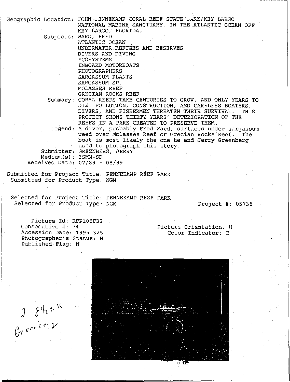|                      | Geographic Location: JOHN - ENNEKAMP CORAL REEF STATE - ARK/KEY LARGO |
|----------------------|-----------------------------------------------------------------------|
|                      | NATIONAL MARINE SANCTUARY, IN THE ATLANTIC OCEAN OFF                  |
|                      | KEY LARGO, FLORIDA.                                                   |
|                      | Subjects: WARD, FRED                                                  |
|                      | ATLANTIC OCEAN                                                        |
|                      | UNDERWATER REFUGES AND RESERVES                                       |
|                      | DIVERS AND DIVING                                                     |
|                      | ECOSYSTEMS                                                            |
|                      | INBOARD MOTORBOATS                                                    |
|                      | <b>PHOTOGRAPHERS</b>                                                  |
|                      | SARGASSUM PLANTS                                                      |
|                      | SARGASSUM SP.                                                         |
|                      | MOLASSES REEF                                                         |
|                      | GRECIAN ROCKS REEF                                                    |
|                      | Summary: CORAL REEFS TAKE CENTURIES TO GROW, AND ONLY YEARS TO        |
|                      | DIE. POLLUTION, CONSTRUCTION, AND CARELESS BOATERS,                   |
|                      | DIVERS, AND FISHERMEN THREATEN THEIR SURVIVAL.<br>THIS                |
|                      | PROJECT SHOWS THIRTY YEARS' DETERIORATION OF THE                      |
|                      | REEFS IN A PARK CREATED TO PRESERVE THEM.                             |
|                      | Legend: A diver, probably Fred Ward, surfaces under sargassum         |
|                      | weed over Molasses Reef or Grecian Rocks Reef. The                    |
|                      | boat is most likely the one he and Jerry Greenberg                    |
|                      | used to photograph this story.                                        |
|                      | Submitter: GREENBERG, JERRY                                           |
| $Median(s): 35MM-SD$ |                                                                       |
|                      | Received Date: $07/89 - 08/89$                                        |
|                      |                                                                       |
|                      | Submitted for Project Title: PENNEKAMP REEF PARK                      |
|                      | Submitted for Product Type: NGM                                       |
|                      |                                                                       |
|                      |                                                                       |
|                      | Selected for Project Title: PENNEKAMP REEF PARK                       |

Selected for Product Type: NGM Project #: 05738

Picture Id: RFPl05F32 Consecutive #: 74 Accession Date: 1995 325 Photographer's Status: N Published Flag: N

 $\begin{array}{c}\n\mathcal{J} & \mathcal{S}^1 2 + 16 \\
\mathcal{L}^Y & \mathcal{C}^{\mathcal{C}^0} & \mathcal{C}^{\mathcal{C}^1}\n\end{array}$ 

Picture Orientation: H Color Indicator: <sup>C</sup> ,



 $C$  NGS